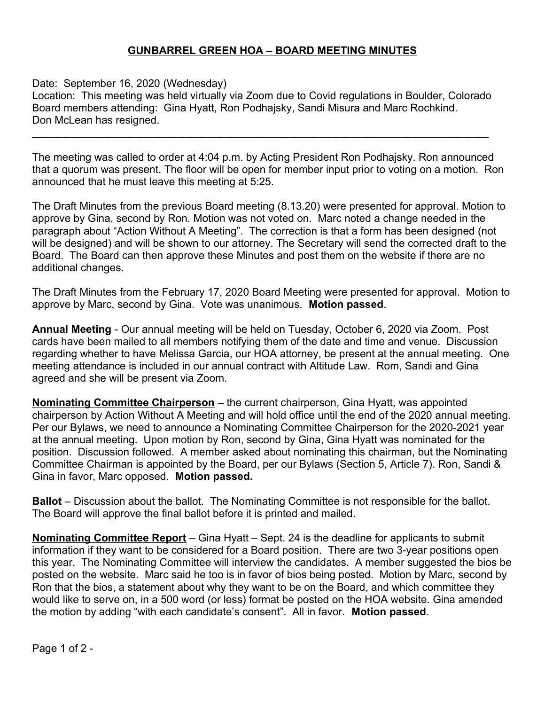## **GUNBARREL GREEN HOA – BOARD MEETING MINUTES**

## Date: September 16, 2020 (Wednesday)

Location: This meeting was held virtually via Zoom due to Covid regulations in Boulder, Colorado Board members attending: Gina Hyatt, Ron Podhajsky, Sandi Misura and Marc Rochkind. Don McLean has resigned.

\_\_\_\_\_\_\_\_\_\_\_\_\_\_\_\_\_\_\_\_\_\_\_\_\_\_\_\_\_\_\_\_\_\_\_\_\_\_\_\_\_\_\_\_\_\_\_\_\_\_\_\_\_\_\_\_\_\_\_\_\_\_\_\_\_\_\_\_\_\_\_\_\_\_\_\_\_

The meeting was called to order at 4:04 p.m. by Acting President Ron Podhajsky. Ron announced that a quorum was present. The floor will be open for member input prior to voting on a motion. Ron announced that he must leave this meeting at 5:25.

The Draft Minutes from the previous Board meeting (8.13.20) were presented for approval. Motion to approve by Gina, second by Ron. Motion was not voted on. Marc noted a change needed in the paragraph about "Action Without A Meeting". The correction is that a form has been designed (not will be designed) and will be shown to our attorney. The Secretary will send the corrected draft to the Board. The Board can then approve these Minutes and post them on the website if there are no additional changes.

The Draft Minutes from the February 17, 2020 Board Meeting were presented for approval. Motion to approve by Marc, second by Gina. Vote was unanimous. **Motion passed**.

**Annual Meeting** - Our annual meeting will be held on Tuesday, October 6, 2020 via Zoom. Post cards have been mailed to all members notifying them of the date and time and venue. Discussion regarding whether to have Melissa Garcia, our HOA attorney, be present at the annual meeting. One meeting attendance is included in our annual contract with Altitude Law. Rom, Sandi and Gina agreed and she will be present via Zoom.

**Nominating Committee Chairperson** – the current chairperson, Gina Hyatt, was appointed chairperson by Action Without A Meeting and will hold office until the end of the 2020 annual meeting. Per our Bylaws, we need to announce a Nominating Committee Chairperson for the 2020-2021 year at the annual meeting. Upon motion by Ron, second by Gina, Gina Hyatt was nominated for the position. Discussion followed. A member asked about nominating this chairman, but the Nominating Committee Chairman is appointed by the Board, per our Bylaws (Section 5, Article 7). Ron, Sandi & Gina in favor, Marc opposed. **Motion passed.**

**Ballot** – Discussion about the ballot. The Nominating Committee is not responsible for the ballot. The Board will approve the final ballot before it is printed and mailed.

**Nominating Committee Report** – Gina Hyatt – Sept. 24 is the deadline for applicants to submit information if they want to be considered for a Board position. There are two 3-year positions open this year. The Nominating Committee will interview the candidates. A member suggested the bios be posted on the website. Marc said he too is in favor of bios being posted. Motion by Marc, second by Ron that the bios, a statement about why they want to be on the Board, and which committee they would like to serve on, in a 500 word (or less) format be posted on the HOA website. Gina amended the motion by adding "with each candidate's consent". All in favor. **Motion passed**.